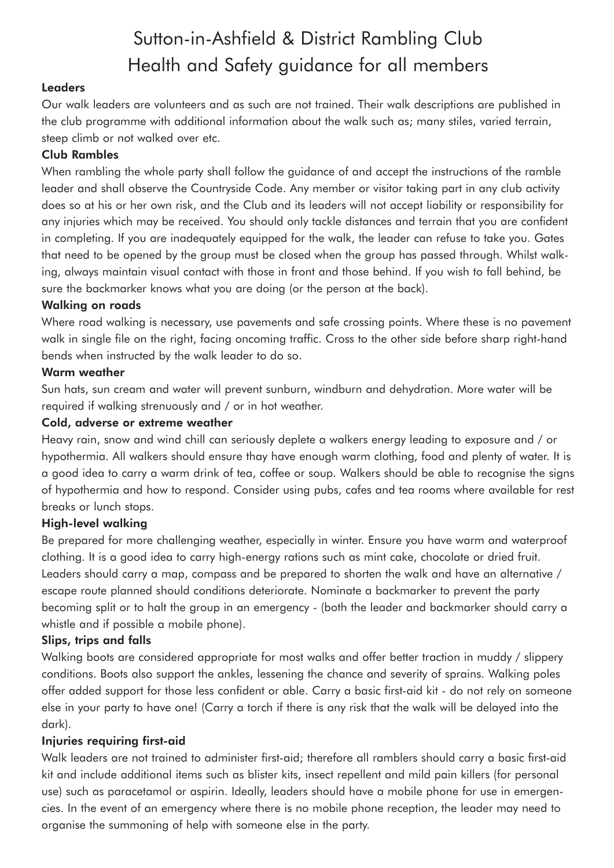# Sutton-in-Ashfield & District Rambling Club Health and Safety guidance for all members

# **Leaders**

Our walk leaders are volunteers and as such are not trained. Their walk descriptions are published in the club programme with additional information about the walk such as; many stiles, varied terrain, steep climb or not walked over etc.

# Club Rambles

When rambling the whole party shall follow the guidance of and accept the instructions of the ramble leader and shall observe the Countryside Code. Any member or visitor taking part in any club activity does so at his or her own risk, and the Club and its leaders will not accept liability or responsibility for any injuries which may be received. You should only tackle distances and terrain that you are confident in completing. If you are inadequately equipped for the walk, the leader can refuse to take you. Gates that need to be opened by the group must be closed when the group has passed through. Whilst walking, always maintain visual contact with those in front and those behind. If you wish to fall behind, be sure the backmarker knows what you are doing (or the person at the back).

## Walking on roads

Where road walking is necessary, use pavements and safe crossing points. Where these is no pavement walk in single file on the right, facing oncoming traffic. Cross to the other side before sharp right-hand bends when instructed by the walk leader to do so.

#### Warm weather

Sun hats, sun cream and water will prevent sunburn, windburn and dehydration. More water will be required if walking strenuously and / or in hot weather.

## Cold, adverse or extreme weather

Heavy rain, snow and wind chill can seriously deplete a walkers energy leading to exposure and / or hypothermia. All walkers should ensure thay have enough warm clothing, food and plenty of water. It is a good idea to carry a warm drink of tea, coffee or soup. Walkers should be able to recognise the signs of hypothermia and how to respond. Consider using pubs, cafes and tea rooms where available for rest breaks or lunch stops.

## High-level walking

Be prepared for more challenging weather, especially in winter. Ensure you have warm and waterproof clothing. It is a good idea to carry high-energy rations such as mint cake, chocolate or dried fruit. Leaders should carry a map, compass and be prepared to shorten the walk and have an alternative / escape route planned should conditions deteriorate. Nominate a backmarker to prevent the party becoming split or to halt the group in an emergency - (both the leader and backmarker should carry a whistle and if possible a mobile phone).

## Slips, trips and falls

Walking boots are considered appropriate for most walks and offer better traction in muddy / slippery conditions. Boots also support the ankles, lessening the chance and severity of sprains. Walking poles offer added support for those less confident or able. Carry a basic first-aid kit - do not rely on someone else in your party to have one! (Carry a torch if there is any risk that the walk will be delayed into the dark).

## Injuries requiring first-aid

Walk leaders are not trained to administer first-aid; therefore all ramblers should carry a basic first-aid kit and include additional items such as blister kits, insect repellent and mild pain killers (for personal use) such as paracetamol or aspirin. Ideally, leaders should have a mobile phone for use in emergencies. In the event of an emergency where there is no mobile phone reception, the leader may need to organise the summoning of help with someone else in the party.